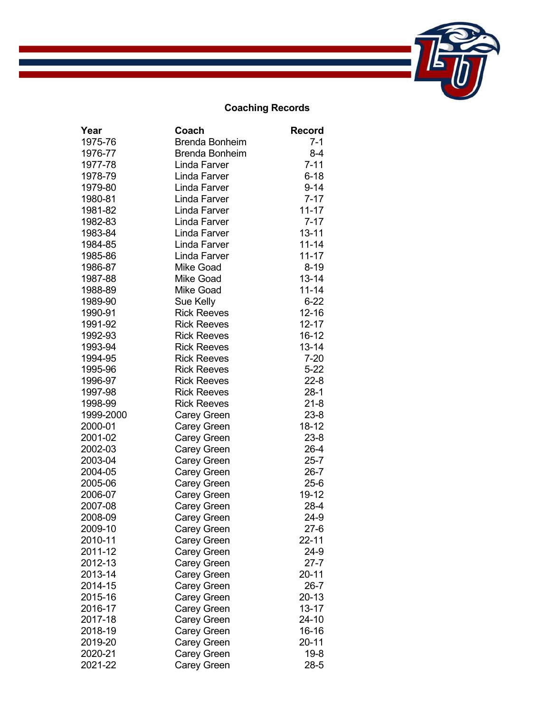## **Coaching Records**

| Year      | Coach                 | <b>Record</b> |
|-----------|-----------------------|---------------|
| 1975-76   | <b>Brenda Bonheim</b> | $7 - 1$       |
| 1976-77   | <b>Brenda Bonheim</b> | $8 - 4$       |
| 1977-78   | Linda Farver          | $7 - 11$      |
| 1978-79   | Linda Farver          | $6 - 18$      |
| 1979-80   | Linda Farver          | $9 - 14$      |
| 1980-81   | Linda Farver          | $7 - 17$      |
| 1981-82   | Linda Farver          | $11 - 17$     |
| 1982-83   | Linda Farver          | $7 - 17$      |
| 1983-84   | Linda Farver          | $13 - 11$     |
| 1984-85   | Linda Farver          | $11 - 14$     |
| 1985-86   | Linda Farver          | $11 - 17$     |
| 1986-87   | <b>Mike Goad</b>      | $8 - 19$      |
| 1987-88   | <b>Mike Goad</b>      | $13 - 14$     |
| 1988-89   | <b>Mike Goad</b>      | $11 - 14$     |
| 1989-90   | Sue Kelly             | $6 - 22$      |
| 1990-91   | <b>Rick Reeves</b>    | $12 - 16$     |
| 1991-92   | <b>Rick Reeves</b>    | $12 - 17$     |
| 1992-93   | <b>Rick Reeves</b>    | 16-12         |
| 1993-94   | <b>Rick Reeves</b>    | $13 - 14$     |
| 1994-95   | <b>Rick Reeves</b>    | $7 - 20$      |
| 1995-96   | <b>Rick Reeves</b>    | $5 - 22$      |
| 1996-97   | <b>Rick Reeves</b>    | $22 - 8$      |
| 1997-98   | <b>Rick Reeves</b>    | $28-1$        |
| 1998-99   | <b>Rick Reeves</b>    | $21 - 8$      |
| 1999-2000 | <b>Carey Green</b>    | $23 - 8$      |
| 2000-01   | <b>Carey Green</b>    | 18-12         |
| 2001-02   | <b>Carey Green</b>    | $23 - 8$      |
| 2002-03   | Carey Green           | 26-4          |
| 2003-04   | Carey Green           | $25 - 7$      |
| 2004-05   | Carey Green           | $26 - 7$      |
| 2005-06   | Carey Green           | $25-6$        |
| 2006-07   | Carey Green           | 19-12         |
| 2007-08   | Carey Green           | 28-4          |
| 2008-09   | <b>Carey Green</b>    | $24-9$        |
| 2009-10   | <b>Carey Green</b>    | $27-6$        |
| 2010-11   | Carey Green           | 22-11         |
| 2011-12   | Carey Green           | 24-9          |
| 2012-13   | <b>Carey Green</b>    | $27 - 7$      |
| 2013-14   | Carey Green           | 20-11         |
| 2014-15   | Carey Green           | $26 - 7$      |
| 2015-16   | Carey Green           | 20-13         |
| 2016-17   | Carey Green           | 13-17         |
| 2017-18   | <b>Carey Green</b>    | 24-10         |
| 2018-19   | <b>Carey Green</b>    | 16-16         |
| 2019-20   | <b>Carey Green</b>    | 20-11         |
| 2020-21   | <b>Carey Green</b>    | $19 - 8$      |
| 2021-22   | <b>Carey Green</b>    | $28 - 5$      |